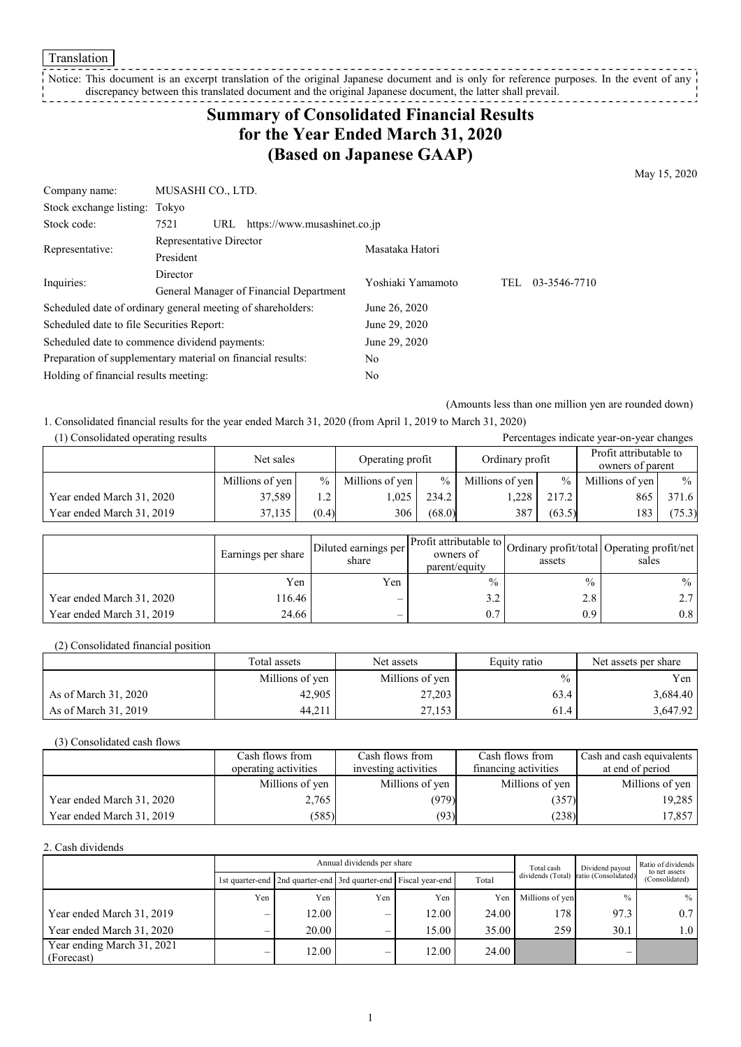Translation

Notice: This document is an excerpt translation of the original Japanese document and is only for reference purposes. In the event of any discrepancy between this translated document and the original Japanese document, the latter shall prevail. \_\_\_\_\_\_\_\_\_\_\_\_\_\_

# **Summary of Consolidated Financial Results for the Year Ended March 31, 2020 (Based on Japanese GAAP)**

May 15, 2020

| Company name:                                               | MUSASHI CO., LTD.                                           |                   |     |              |  |
|-------------------------------------------------------------|-------------------------------------------------------------|-------------------|-----|--------------|--|
| Stock exchange listing:                                     | Tokvo                                                       |                   |     |              |  |
| Stock code:                                                 | https://www.musashinet.co.jp<br>7521<br>URL                 |                   |     |              |  |
|                                                             | Representative Director                                     | Masataka Hatori   |     |              |  |
| Representative:                                             | President                                                   |                   |     |              |  |
|                                                             | Director                                                    | Yoshiaki Yamamoto | TEL | 03-3546-7710 |  |
| Inquiries:                                                  | General Manager of Financial Department                     |                   |     |              |  |
| Scheduled date of ordinary general meeting of shareholders: |                                                             | June 26, 2020     |     |              |  |
| Scheduled date to file Securities Report:                   |                                                             | June 29, 2020     |     |              |  |
|                                                             | Scheduled date to commence dividend payments:               | June 29, 2020     |     |              |  |
|                                                             | Preparation of supplementary material on financial results: | No                |     |              |  |
| Holding of financial results meeting:<br>No                 |                                                             |                   |     |              |  |

(Amounts less than one million yen are rounded down)

1. Consolidated financial results for the year ended March 31, 2020 (from April 1, 2019 to March 31, 2020)

| (1) Consolidated operating results |                 |                  |                 |                 |                  |                        | Percentages indicate year-on-year changes |               |
|------------------------------------|-----------------|------------------|-----------------|-----------------|------------------|------------------------|-------------------------------------------|---------------|
| Net sales                          |                 | Operating profit |                 | Ordinary profit |                  | Profit attributable to |                                           |               |
|                                    |                 |                  |                 |                 | owners of parent |                        |                                           |               |
|                                    | Millions of yen | $\%$             | Millions of yen | $\%$            | Millions of yen  | $\%$                   | Millions of yen                           | $\frac{0}{0}$ |
| Year ended March 31, 2020          | 37.589          | 1.2              | 1,025           | 234.2           | .228             | 217.2                  | 865                                       | 371.6         |
| Year ended March 31, 2019          | 37,135          | (0.4)            | 306             | (68.0)          | 387              | (63.5)                 | 183                                       | (75.3)        |

|                           | Earnings per share | Diluted earnings per<br>share | owners of<br>parent/equity | assets        | Profit attributable to Ordinary profit/total Operating profit/net '<br>sales |
|---------------------------|--------------------|-------------------------------|----------------------------|---------------|------------------------------------------------------------------------------|
|                           | Yen                | Yen                           | $\frac{0}{0}$              | $\frac{0}{0}$ | $\%$                                                                         |
| Year ended March 31, 2020 | 116.46             | $\overline{\phantom{0}}$      | 3.2                        | 2.8           | 2.7 <sub>1</sub>                                                             |
| Year ended March 31, 2019 | 24.66              |                               | 0.7                        | 0.9           | 0.8                                                                          |

(2) Consolidated financial position

|                      | Total assets    | Net assets      | Equity ratio | Net assets per share |
|----------------------|-----------------|-----------------|--------------|----------------------|
|                      | Millions of yen | Millions of yen | $\%$         | Yen l                |
| As of March 31, 2020 | 42,905          | 27,203          | 63.4         | 3,684.40             |
| As of March 31, 2019 | 44,211          | 27,153          | 61.4         | 3,647.92             |

(3) Consolidated cash flows

|                           | Cash flows from      | Cash flows from      | Cash flows from      | Cash and cash equivalents |
|---------------------------|----------------------|----------------------|----------------------|---------------------------|
|                           | operating activities | investing activities | financing activities | at end of period          |
|                           | Millions of yen      | Millions of yen      | Millions of yen      | Millions of yen           |
| Year ended March 31, 2020 | 2,765                | (979)                | (357)                | 19.285                    |
| Year ended March 31, 2019 | (585)                | (93)                 | (238)                | 17,857                    |

#### 2. Cash dividends

|                                          | Annual dividends per share |                                                                       |                          |       |       | Total cash        | Dividend payout      | Ratio of dividends<br>to net assets |
|------------------------------------------|----------------------------|-----------------------------------------------------------------------|--------------------------|-------|-------|-------------------|----------------------|-------------------------------------|
|                                          |                            | 1st quarter-end   2nd quarter-end   3rd quarter-end   Fiscal year-end |                          |       | Total | dividends (Total) | ratio (Consolidated) | (Consolidated)                      |
|                                          | Yen                        | Yen                                                                   | Yen                      | Yen   | Yen   | Millions of yen   | $^{0}/_{0}$          | $\frac{0}{0}$                       |
| Year ended March 31, 2019                | –                          | 12.00                                                                 | $\overline{\phantom{0}}$ | 12.00 | 24.00 | 178 1             | 97.3                 | 0.7                                 |
| Year ended March 31, 2020                | –                          | 20.00                                                                 | $\overline{\phantom{0}}$ | 15.00 | 35.00 | 259               | 30.1                 | 1.0 <sup>1</sup>                    |
| Year ending March 31, 2021<br>(Forecast) | -                          | 12.00                                                                 |                          | 12.00 | 24.00 |                   | –                    |                                     |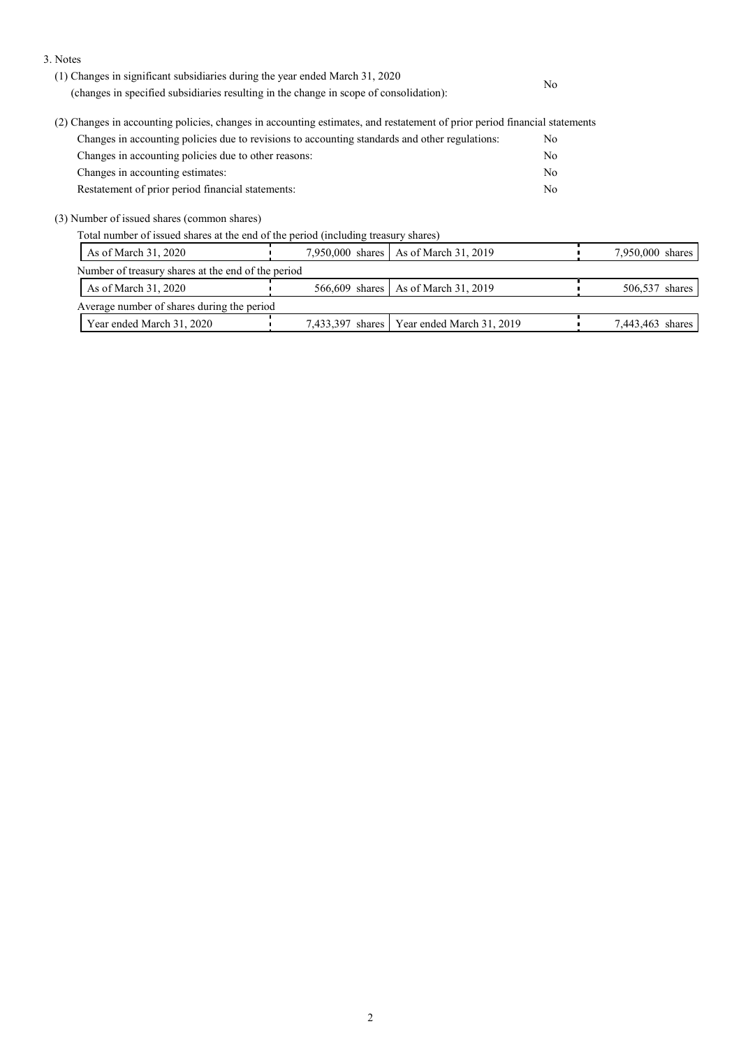3. Notes

| (1) Changes in significant subsidiaries during the year ended March 31, 2020<br>(changes in specified subsidiaries resulting in the change in scope of consolidation): | No. |
|------------------------------------------------------------------------------------------------------------------------------------------------------------------------|-----|
| (2) Changes in accounting policies, changes in accounting estimates, and restatement of prior period financial statements                                              |     |
| Changes in accounting policies due to revisions to accounting standards and other regulations:                                                                         | No. |
| Changes in accounting policies due to other reasons:                                                                                                                   | No. |
| Changes in accounting estimates:                                                                                                                                       | No. |
| Restatement of prior period financial statements:                                                                                                                      | No. |

(3) Number of issued shares (common shares)

Total number of issued shares at the end of the period (including treasury shares)

| As of March 31, 2020                               | 7,950,000 shares   As of March 31, 2019      | 7,950,000 shares |
|----------------------------------------------------|----------------------------------------------|------------------|
| Number of treasury shares at the end of the period |                                              |                  |
| As of March 31, 2020                               | 566,609 shares As of March 31, 2019          | 506,537 shares   |
| Average number of shares during the period         |                                              |                  |
| Year ended March 31, 2020                          | 7,433,397 shares   Year ended March 31, 2019 | 7,443,463 shares |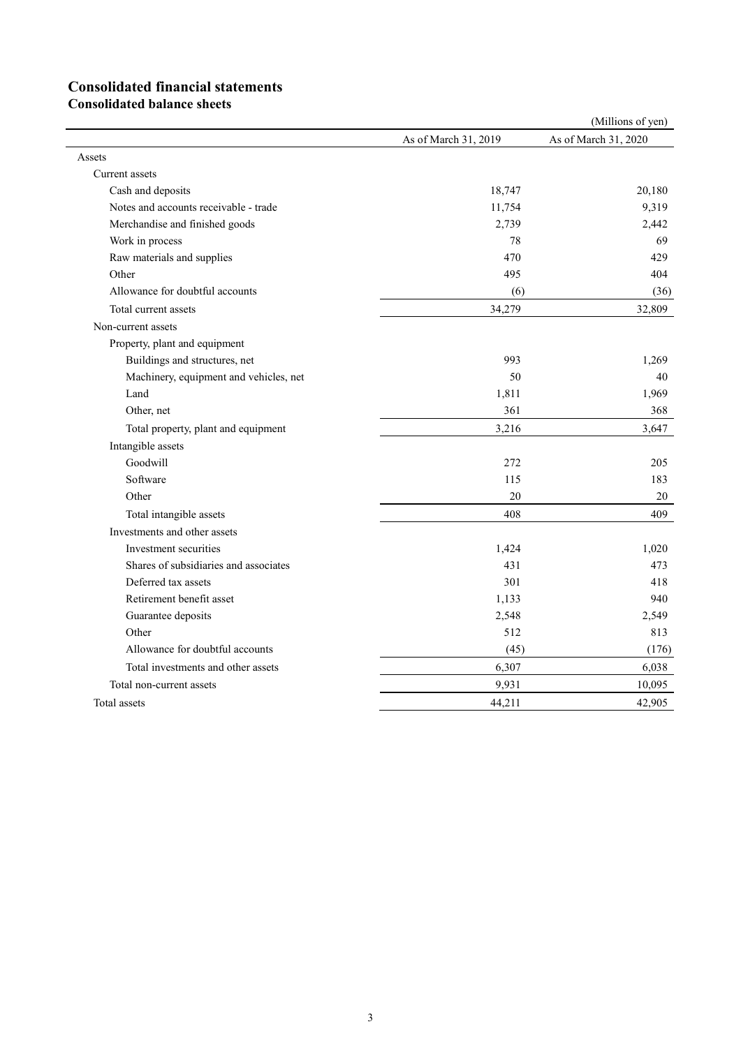# **Consolidated financial statements**

**Consolidated balance sheets**

|                                        |                      | (Millions of yen)    |
|----------------------------------------|----------------------|----------------------|
|                                        | As of March 31, 2019 | As of March 31, 2020 |
| Assets                                 |                      |                      |
| Current assets                         |                      |                      |
| Cash and deposits                      | 18,747               | 20,180               |
| Notes and accounts receivable - trade  | 11,754               | 9,319                |
| Merchandise and finished goods         | 2,739                | 2,442                |
| Work in process                        | 78                   | 69                   |
| Raw materials and supplies             | 470                  | 429                  |
| Other                                  | 495                  | 404                  |
| Allowance for doubtful accounts        | (6)                  | (36)                 |
| Total current assets                   | 34,279               | 32,809               |
| Non-current assets                     |                      |                      |
| Property, plant and equipment          |                      |                      |
| Buildings and structures, net          | 993                  | 1,269                |
| Machinery, equipment and vehicles, net | 50                   | 40                   |
| Land                                   | 1,811                | 1,969                |
| Other, net                             | 361                  | 368                  |
| Total property, plant and equipment    | 3,216                | 3,647                |
| Intangible assets                      |                      |                      |
| Goodwill                               | 272                  | 205                  |
| Software                               | 115                  | 183                  |
| Other                                  | 20                   | 20                   |
| Total intangible assets                | 408                  | 409                  |
| Investments and other assets           |                      |                      |
| Investment securities                  | 1,424                | 1,020                |
| Shares of subsidiaries and associates  | 431                  | 473                  |
| Deferred tax assets                    | 301                  | 418                  |
| Retirement benefit asset               | 1,133                | 940                  |
| Guarantee deposits                     | 2,548                | 2,549                |
| Other                                  | 512                  | 813                  |
| Allowance for doubtful accounts        | (45)                 | (176)                |
| Total investments and other assets     | 6,307                | 6,038                |
| Total non-current assets               | 9,931                | 10,095               |
| Total assets                           | 44,211               | 42,905               |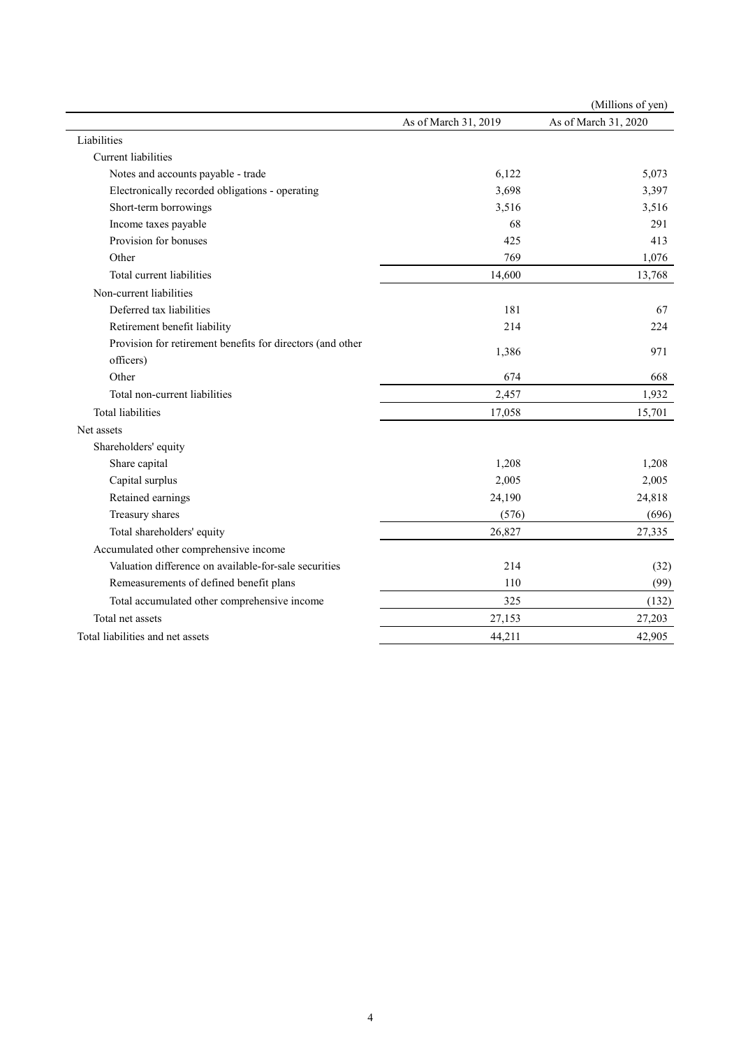|                                                            |                      | (Millions of yen)    |
|------------------------------------------------------------|----------------------|----------------------|
|                                                            | As of March 31, 2019 | As of March 31, 2020 |
| Liabilities                                                |                      |                      |
| Current liabilities                                        |                      |                      |
| Notes and accounts payable - trade                         | 6,122                | 5,073                |
| Electronically recorded obligations - operating            | 3,698                | 3,397                |
| Short-term borrowings                                      | 3,516                | 3,516                |
| Income taxes payable                                       | 68                   | 291                  |
| Provision for bonuses                                      | 425                  | 413                  |
| Other                                                      | 769                  | 1,076                |
| Total current liabilities                                  | 14,600               | 13,768               |
| Non-current liabilities                                    |                      |                      |
| Deferred tax liabilities                                   | 181                  | 67                   |
| Retirement benefit liability                               | 214                  | 224                  |
| Provision for retirement benefits for directors (and other | 1,386                | 971                  |
| officers)                                                  |                      |                      |
| Other                                                      | 674                  | 668                  |
| Total non-current liabilities                              | 2,457                | 1,932                |
| <b>Total liabilities</b>                                   | 17,058               | 15,701               |
| Net assets                                                 |                      |                      |
| Shareholders' equity                                       |                      |                      |
| Share capital                                              | 1,208                | 1,208                |
| Capital surplus                                            | 2,005                | 2,005                |
| Retained earnings                                          | 24,190               | 24,818               |
| Treasury shares                                            | (576)                | (696)                |
| Total shareholders' equity                                 | 26,827               | 27,335               |
| Accumulated other comprehensive income                     |                      |                      |
| Valuation difference on available-for-sale securities      | 214                  | (32)                 |
| Remeasurements of defined benefit plans                    | 110                  | (99)                 |
| Total accumulated other comprehensive income               | 325                  | (132)                |
| Total net assets                                           | 27,153               | 27,203               |
| Total liabilities and net assets                           | 44,211               | 42,905               |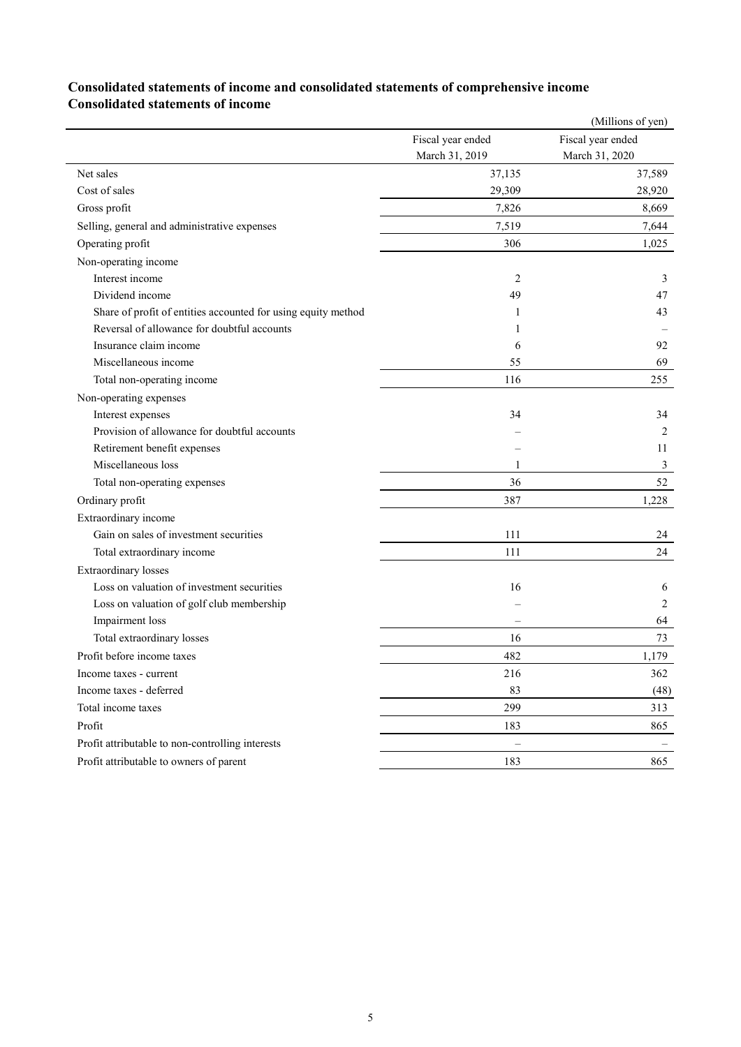### **Consolidated statements of income and consolidated statements of comprehensive income Consolidated statements of income**

|                                                               |                   | (Millions of yen) |
|---------------------------------------------------------------|-------------------|-------------------|
|                                                               | Fiscal year ended | Fiscal year ended |
|                                                               | March 31, 2019    | March 31, 2020    |
| Net sales                                                     | 37,135            | 37,589            |
| Cost of sales                                                 | 29,309            | 28,920            |
| Gross profit                                                  | 7,826             | 8,669             |
| Selling, general and administrative expenses                  | 7,519             | 7,644             |
| Operating profit                                              | 306               | 1,025             |
| Non-operating income                                          |                   |                   |
| Interest income                                               | 2                 | 3                 |
| Dividend income                                               | 49                | 47                |
| Share of profit of entities accounted for using equity method | 1                 | 43                |
| Reversal of allowance for doubtful accounts                   | 1                 |                   |
| Insurance claim income                                        | 6                 | 92                |
| Miscellaneous income                                          | 55                | 69                |
| Total non-operating income                                    | 116               | 255               |
| Non-operating expenses                                        |                   |                   |
| Interest expenses                                             | 34                | 34                |
| Provision of allowance for doubtful accounts                  |                   | 2                 |
| Retirement benefit expenses                                   |                   | 11                |
| Miscellaneous loss                                            | 1                 | 3                 |
| Total non-operating expenses                                  | 36                | 52                |
| Ordinary profit                                               | 387               | 1,228             |
| Extraordinary income                                          |                   |                   |
| Gain on sales of investment securities                        | 111               | 24                |
| Total extraordinary income                                    | 111               | 24                |
| <b>Extraordinary losses</b>                                   |                   |                   |
| Loss on valuation of investment securities                    | 16                | 6                 |
| Loss on valuation of golf club membership                     |                   | 2                 |
| Impairment loss                                               |                   | 64                |
| Total extraordinary losses                                    | 16                | 73                |
| Profit before income taxes                                    | 482               | 1,179             |
| Income taxes - current                                        | 216               | 362               |
| Income taxes - deferred                                       | 83                | (48)              |
| Total income taxes                                            | 299               | 313               |
| Profit                                                        | 183               | 865               |
| Profit attributable to non-controlling interests              |                   |                   |
| Profit attributable to owners of parent                       | 183               | 865               |
|                                                               |                   |                   |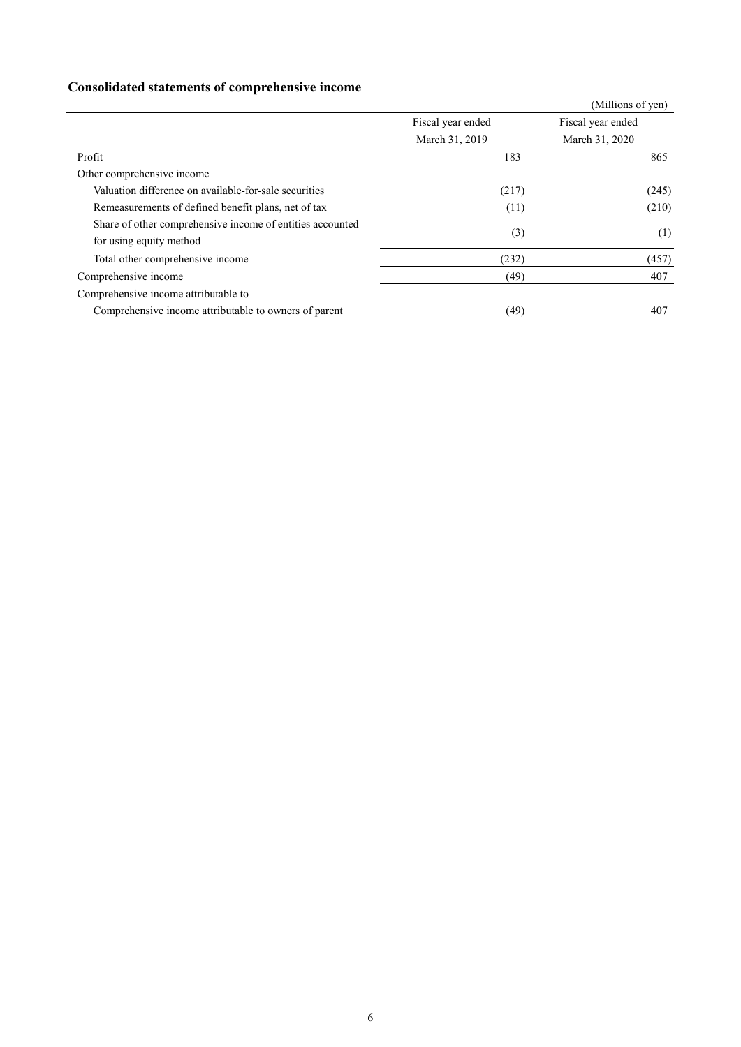## **Consolidated statements of comprehensive income**

|                                                           |                   | (Millions of yen) |
|-----------------------------------------------------------|-------------------|-------------------|
|                                                           | Fiscal year ended | Fiscal year ended |
|                                                           | March 31, 2019    | March 31, 2020    |
| Profit                                                    | 183               | 865               |
| Other comprehensive income                                |                   |                   |
| Valuation difference on available-for-sale securities     | (217)             | (245)             |
| Remeasurements of defined benefit plans, net of tax       | (11)              | (210)             |
| Share of other comprehensive income of entities accounted | (3)               | (1)               |
| for using equity method                                   |                   |                   |
| Total other comprehensive income                          | (232)             | (457)             |
| Comprehensive income                                      | (49)              | 407               |
| Comprehensive income attributable to                      |                   |                   |
| Comprehensive income attributable to owners of parent     | (49)              | 407               |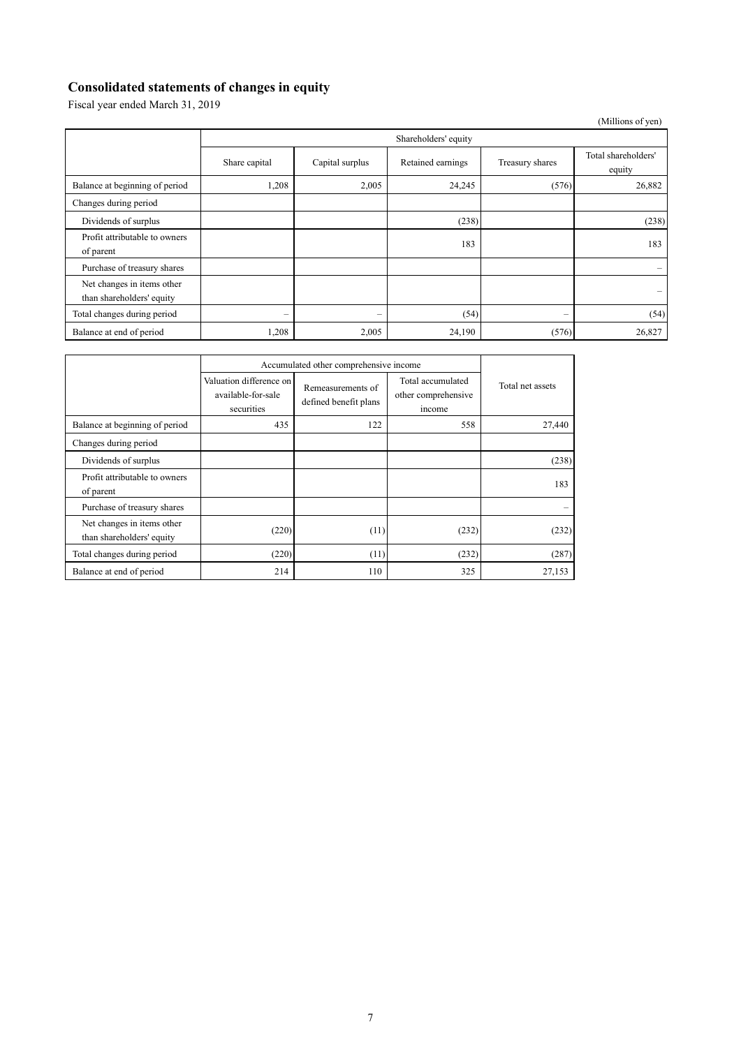## **Consolidated statements of changes in equity**

Fiscal year ended March 31, 2019

(Millions of yen)

|                                                         | Shareholders' equity     |                          |                   |                          |                               |
|---------------------------------------------------------|--------------------------|--------------------------|-------------------|--------------------------|-------------------------------|
|                                                         | Share capital            | Capital surplus          | Retained earnings | Treasury shares          | Total shareholders'<br>equity |
| Balance at beginning of period                          | 1,208                    | 2,005                    | 24,245            | (576)                    | 26,882                        |
| Changes during period                                   |                          |                          |                   |                          |                               |
| Dividends of surplus                                    |                          |                          | (238)             |                          | (238)                         |
| Profit attributable to owners<br>of parent              |                          |                          | 183               |                          | 183                           |
| Purchase of treasury shares                             |                          |                          |                   |                          |                               |
| Net changes in items other<br>than shareholders' equity |                          |                          |                   |                          |                               |
| Total changes during period                             | $\overline{\phantom{0}}$ | $\overline{\phantom{0}}$ | (54)              | $\overline{\phantom{0}}$ | (54)                          |
| Balance at end of period                                | 1,208                    | 2,005                    | 24,190            | (576)                    | 26,827                        |

|                                                         | Accumulated other comprehensive income                      |                                            |                                                    |                  |
|---------------------------------------------------------|-------------------------------------------------------------|--------------------------------------------|----------------------------------------------------|------------------|
|                                                         | Valuation difference on<br>available-for-sale<br>securities | Remeasurements of<br>defined benefit plans | Total accumulated<br>other comprehensive<br>income | Total net assets |
| Balance at beginning of period                          | 435                                                         | 122                                        | 558                                                | 27,440           |
| Changes during period                                   |                                                             |                                            |                                                    |                  |
| Dividends of surplus                                    |                                                             |                                            |                                                    | (238)            |
| Profit attributable to owners<br>of parent              |                                                             |                                            |                                                    | 183              |
| Purchase of treasury shares                             |                                                             |                                            |                                                    |                  |
| Net changes in items other<br>than shareholders' equity | (220)                                                       | (11)                                       | (232)                                              | (232)            |
| Total changes during period                             | (220)                                                       | (11)                                       | (232)                                              | (287)            |
| Balance at end of period                                | 214                                                         | 110                                        | 325                                                | 27,153           |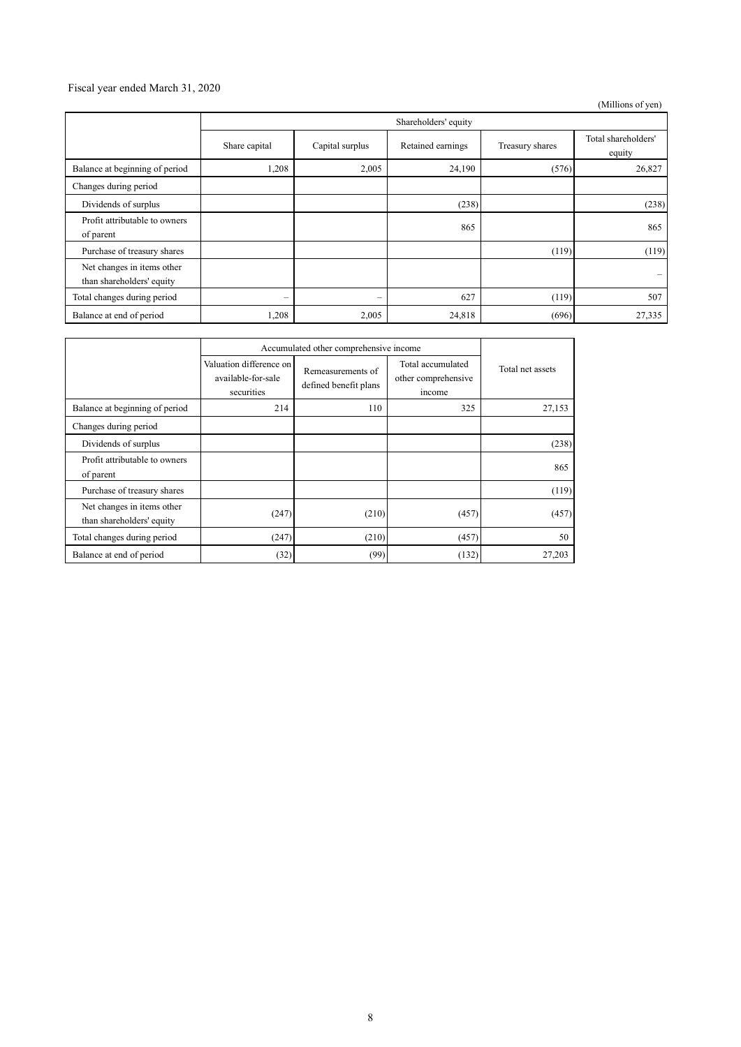#### Fiscal year ended March 31, 2020

(Millions of yen)

|                                                         | Shareholders' equity |                          |                   |                 |                               |
|---------------------------------------------------------|----------------------|--------------------------|-------------------|-----------------|-------------------------------|
|                                                         | Share capital        | Capital surplus          | Retained earnings | Treasury shares | Total shareholders'<br>equity |
| Balance at beginning of period                          | 1,208                | 2,005                    | 24,190            | (576)           | 26,827                        |
| Changes during period                                   |                      |                          |                   |                 |                               |
| Dividends of surplus                                    |                      |                          | (238)             |                 | (238)                         |
| Profit attributable to owners<br>of parent              |                      |                          | 865               |                 | 865                           |
| Purchase of treasury shares                             |                      |                          |                   | (119)           | (119)                         |
| Net changes in items other<br>than shareholders' equity |                      |                          |                   |                 | $\qquad \qquad \qquad$        |
| Total changes during period                             | -                    | $\overline{\phantom{0}}$ | 627               | (119)           | 507                           |
| Balance at end of period                                | 1,208                | 2,005                    | 24,818            | (696)           | 27,335                        |

|                                                         | Accumulated other comprehensive income                      |                                            |                                                    |                  |
|---------------------------------------------------------|-------------------------------------------------------------|--------------------------------------------|----------------------------------------------------|------------------|
|                                                         | Valuation difference on<br>available-for-sale<br>securities | Remeasurements of<br>defined benefit plans | Total accumulated<br>other comprehensive<br>income | Total net assets |
| Balance at beginning of period                          | 214                                                         | 110                                        | 325                                                | 27,153           |
| Changes during period                                   |                                                             |                                            |                                                    |                  |
| Dividends of surplus                                    |                                                             |                                            |                                                    | (238)            |
| Profit attributable to owners<br>of parent              |                                                             |                                            |                                                    | 865              |
| Purchase of treasury shares                             |                                                             |                                            |                                                    | (119)            |
| Net changes in items other<br>than shareholders' equity | (247)                                                       | (210)                                      | (457)                                              | (457)            |
| Total changes during period                             | (247)                                                       | (210)                                      | (457)                                              | 50               |
| Balance at end of period                                | (32)                                                        | (99)                                       | (132)                                              | 27,203           |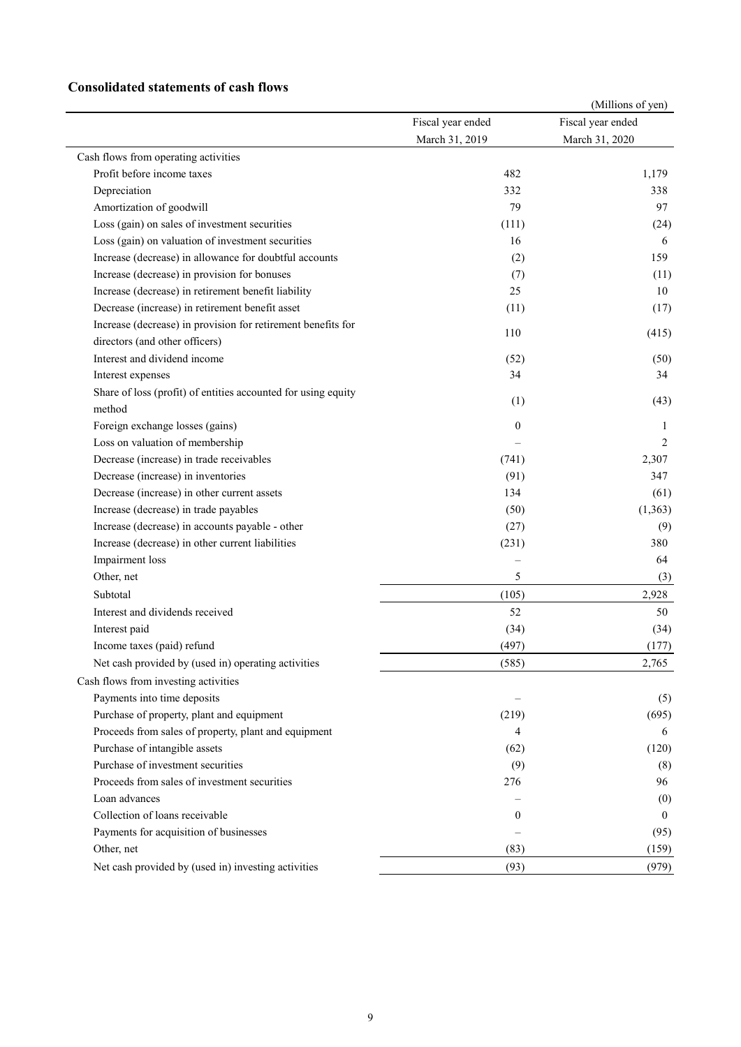#### **Consolidated statements of cash flows**

|                                                               |                   | (Millions of yen) |
|---------------------------------------------------------------|-------------------|-------------------|
|                                                               | Fiscal year ended | Fiscal year ended |
|                                                               | March 31, 2019    | March 31, 2020    |
| Cash flows from operating activities                          |                   |                   |
| Profit before income taxes                                    | 482               | 1,179             |
| Depreciation                                                  | 332               | 338               |
| Amortization of goodwill                                      | 79                | 97                |
| Loss (gain) on sales of investment securities                 | (111)             | (24)              |
| Loss (gain) on valuation of investment securities             | 16                | 6                 |
| Increase (decrease) in allowance for doubtful accounts        | (2)               | 159               |
| Increase (decrease) in provision for bonuses                  | (7)               | (11)              |
| Increase (decrease) in retirement benefit liability           | 25                | 10                |
| Decrease (increase) in retirement benefit asset               | (11)              | (17)              |
| Increase (decrease) in provision for retirement benefits for  |                   |                   |
| directors (and other officers)                                | 110               | (415)             |
| Interest and dividend income                                  | (52)              | (50)              |
| Interest expenses                                             | 34                | 34                |
| Share of loss (profit) of entities accounted for using equity |                   |                   |
| method                                                        | (1)               | (43)              |
| Foreign exchange losses (gains)                               | $\theta$          | 1                 |
| Loss on valuation of membership                               |                   | 2                 |
| Decrease (increase) in trade receivables                      | (741)             | 2,307             |
| Decrease (increase) in inventories                            | (91)              | 347               |
| Decrease (increase) in other current assets                   | 134               | (61)              |
| Increase (decrease) in trade payables                         | (50)              | (1, 363)          |
| Increase (decrease) in accounts payable - other               | (27)              | (9)               |
| Increase (decrease) in other current liabilities              | (231)             | 380               |
| Impairment loss                                               |                   | 64                |
| Other, net                                                    | 5                 | (3)               |
| Subtotal                                                      | (105)             | 2,928             |
| Interest and dividends received                               | 52                | 50                |
| Interest paid                                                 | (34)              | (34)              |
| Income taxes (paid) refund                                    | (497)             | (177)             |
| Net cash provided by (used in) operating activities           | (585)             | 2,765             |
| Cash flows from investing activities                          |                   |                   |
| Payments into time deposits                                   |                   | (5)               |
| Purchase of property, plant and equipment                     | (219)             | (695)             |
| Proceeds from sales of property, plant and equipment          | 4                 | 6                 |
| Purchase of intangible assets                                 | (62)              | (120)             |
| Purchase of investment securities                             | (9)               | (8)               |
| Proceeds from sales of investment securities                  | 276               | 96                |
| Loan advances                                                 |                   | (0)               |
| Collection of loans receivable                                | $\overline{0}$    | $\theta$          |
| Payments for acquisition of businesses                        |                   |                   |
| Other, net                                                    |                   | (95)              |
|                                                               | (83)              | (159)             |
| Net cash provided by (used in) investing activities           | (93)              | (979)             |